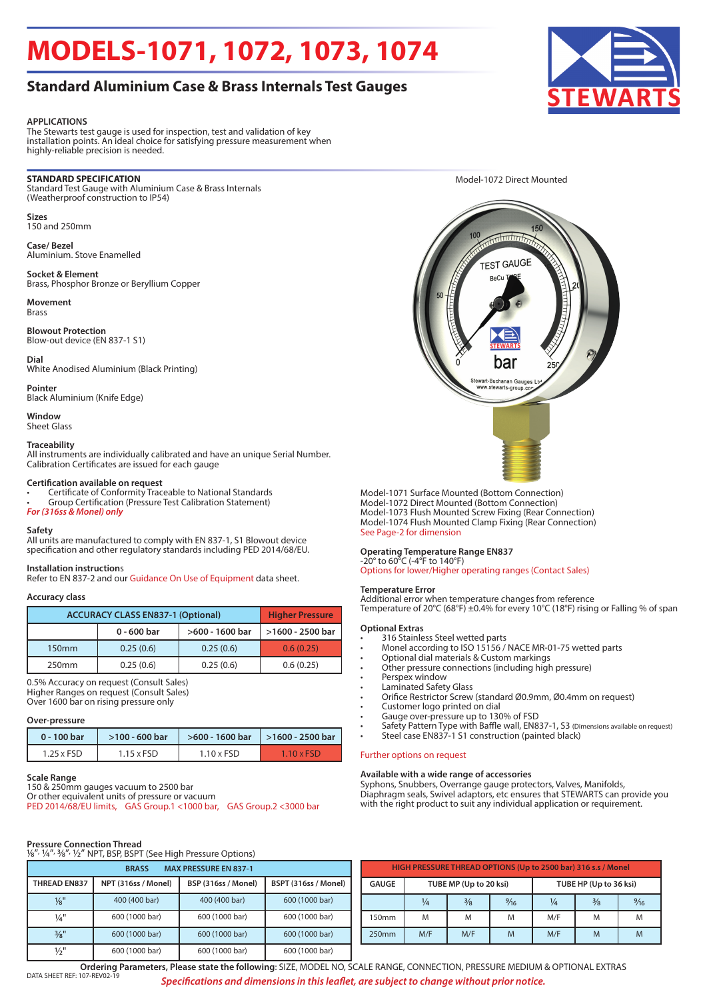# **MODELS-1071, 1072, 1073, 1074**

# **Standard Aluminium Case & Brass Internals Test Gauges**

**APPLICATIONS**

The Stewarts test gauge is used for inspection, test and validation of key installation points. An ideal choice for satisfying pressure measurement when highly-reliable precision is needed.

## **STANDARD SPECIFICATION**

Standard Test Gauge with Aluminium Case & Brass Internals (Weatherproof construction to IP54)

**Sizes** 150 and 250mm

**Case/ Bezel** Aluminium. Stove Enamelled

# **Socket & Element**

Brass, Phosphor Bronze or Beryllium Copper

**Movement** Brass

**Blowout Protection** Blow-out device (EN 837-1 S1)

### **Dial**

White Anodised Aluminium (Black Printing)

**Pointer** Black Aluminium (Knife Edge)

**Window** Sheet Glass

# **Traceability**

All instruments are individually calibrated and have an unique Serial Number. Calibration Certificates are issued for each gauge

## **Certification available on request**

• Certificate of Conformity Traceable to National Standards Group Certification (Pressure Test Calibration Statement)

*For (316ss & Monel) only*

#### **Safety**

All units are manufactured to comply with EN 837-1, S1 Blowout device specification and other regulatory standards including PED 2014/68/EU.

#### **Installation instruction**s

Refer to EN 837-2 and our Guidance On Use of Equipment data sheet.

## **Accuracy class**

| <b>ACCURACY CLASS EN837-1 (Optional)</b> | <b>Higher Pressure</b>         |           |                  |
|------------------------------------------|--------------------------------|-----------|------------------|
|                                          | >600 - 1600 bar<br>0 - 600 bar |           | >1600 - 2500 bar |
| 150 <sub>mm</sub>                        | 0.25(0.6)                      | 0.25(0.6) | 0.6(0.25)        |
| 250 <sub>mm</sub>                        | 0.25(0.6)                      | 0.25(0.6) | 0.6(0.25)        |

0.5% Accuracy on request (Consult Sales)

Higher Ranges on request (Consult Sales) Over 1600 bar on rising pressure only

### **Over-pressure**

| 0 - 100 bar | $>100 - 600$ bar  | >600 - 1600 bar   | 1>1600 - 2500 bar |
|-------------|-------------------|-------------------|-------------------|
| 1.25 x FSD  | $1.15 \times FSD$ | $1.10 \times FSD$ | 1 10 x FSD        |

# **Scale Range**

150 & 250mm gauges vacuum to 2500 bar Or other equivalent units of pressure or vacuum PED 2014/68/EU limits, GAS Group.1 <1000 bar, GAS Group.2 <3000 bar

# **Pressure Connection Thread<br>½"<sup>,</sup> ½"<sup>, ½</sup>&"<sup>,</sup> ½" NPT, BSP, BSPT (See High Pressure Options)**

| <b>MAX PRESSURE EN 837-1</b><br><b>BRASS</b> |                     |                     |                      |  |  |  |  |  |  |  |
|----------------------------------------------|---------------------|---------------------|----------------------|--|--|--|--|--|--|--|
| <b>THREAD EN837</b>                          | NPT (316ss / Monel) | BSP (316ss / Monel) | BSPT (316ss / Monel) |  |  |  |  |  |  |  |
| $\frac{1}{8}$ "                              | 400 (400 bar)       | 400 (400 bar)       | 600 (1000 bar)       |  |  |  |  |  |  |  |
| $\frac{1}{4}$ "                              | 600 (1000 bar)      | 600 (1000 bar)      | 600 (1000 bar)       |  |  |  |  |  |  |  |
| $\frac{3}{8}$ "                              | 600 (1000 bar)      | 600 (1000 bar)      | 600 (1000 bar)       |  |  |  |  |  |  |  |
| $\frac{1}{2}$ "                              | 600 (1000 bar)      | 600 (1000 bar)      | 600 (1000 bar)       |  |  |  |  |  |  |  |

| HIGH PRESSURE THREAD OPTIONS (Up to 2500 bar) 316 s.s / Monel |                        |               |                |                        |               |                |  |  |  |  |  |
|---------------------------------------------------------------|------------------------|---------------|----------------|------------------------|---------------|----------------|--|--|--|--|--|
| <b>GAUGE</b>                                                  | TUBE MP (Up to 20 ksi) |               |                | TUBE HP (Up to 36 ksi) |               |                |  |  |  |  |  |
|                                                               | ¼                      | $\frac{3}{8}$ | $\frac{9}{16}$ | $\frac{1}{4}$          | $\frac{3}{8}$ | $\frac{9}{16}$ |  |  |  |  |  |
| 150mm                                                         | M                      | M             | M              | M/F                    | M             | M              |  |  |  |  |  |
| 250mm                                                         | M/F                    | M/F           | M              | M/F                    | M             | M              |  |  |  |  |  |



 $150$  $10<sup>1</sup>$ **TEST GAUGE ReCu**  $2F$ art-Buchanan Gauges L

Model-1072 Direct Mounted

Model-1071 Surface Mounted (Bottom Connection) Model-1072 Direct Mounted (Bottom Connection) Model-1073 Flush Mounted Screw Fixing (Rear Connection) Model-1074 Flush Mounted Clamp Fixing (Rear Connection) See Page-2 for dimension

# **Operating Temperature Range EN837**

-20° to 60°C (-4°F to 140°F) Options for lower/Higher operating ranges (Contact Sales)

# **Temperature Error**

Additional error when temperature changes from reference Temperature of 20°C (68°F) ±0.4% for every 10°C (18°F) rising or Falling % of span

#### **Optional Extras**

- 316 Stainless Steel wetted parts
- Monel according to ISO 15156 / NACE MR-01-75 wetted parts
- Optional dial materials & Custom markings
- Other pressure connections (including high pressure)
- Perspex window
- Laminated Safety Glass
- Orifice Restrictor Screw (standard Ø0.9mm, Ø0.4mm on request)
- Customer logo printed on dial
- Gauge over-pressure up to 130% of FSD
- Safety Pattern Type with Baffle wall, EN837-1, S3 (Dimensions available on request)
- Steel case EN837-1 S1 construction (painted black)

### Further options on request

#### **Available with a wide range of accessories**

Syphons, Snubbers, Overrange gauge protectors, Valves, Manifolds, Diaphragm seals, Swivel adaptors, etc ensures that STEWARTS can provide you with the right product to suit any individual application or requirement.

DATA SHEET REF: 107-REV02-1 *Specifications and dimensions in this leaflet, are subject to change without prior notice.* **Ordering Parameters, Please state the following**: SIZE, MODEL NO, SCALE RANGE, CONNECTION, PRESSURE MEDIUM & OPTIONAL EXTRAS